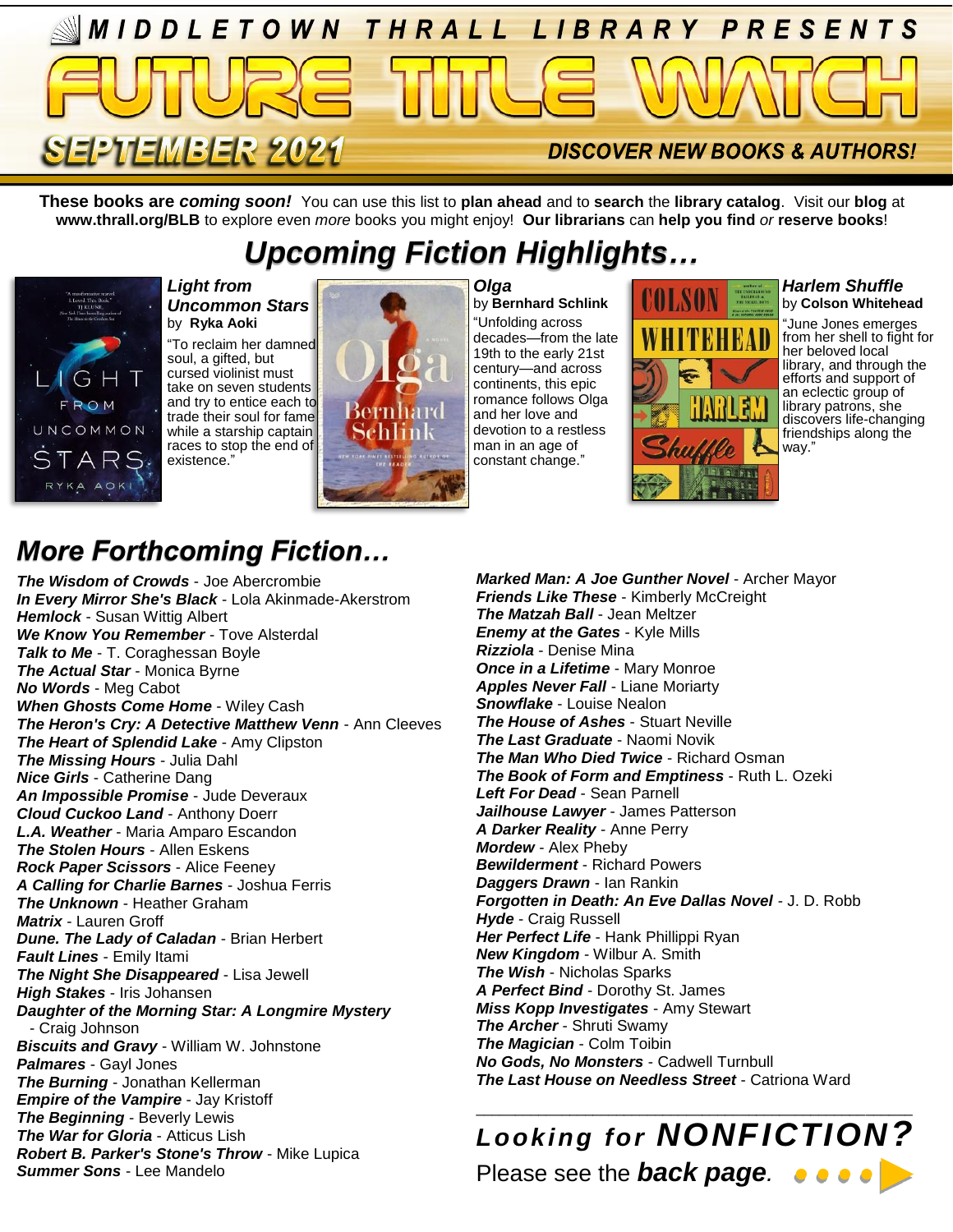

**These books are** *coming soon!* You can use this list to **plan ahead** and to **search** the **library catalog**. Visit our **blog** at **www.thrall.org/BLB** to explore even *more* books you might enjoy! **Our librarians** can **help you find** *or* **reserve books**!

# *Upcoming Fiction Highlights…*



#### *Light from Uncommon Stars* by **Ryka Aoki**

"To reclaim her damned soul, a gifted, but cursed violinist must take on seven students and try to entice each to trade their soul for fame while a starship captain races to stop the end of existence."



*Olga* by **Bernhard Schlink** "Unfolding across decades—from the late 19th to the early 21st century—and across continents, this epic romance follows Olga and her love and devotion to a restless man in an age of constant change."



#### *Harlem Shuffle* by **Colson Whitehead**

"June Jones emerges from her shell to fight for her beloved local library, and through the efforts and support of an eclectic group of library patrons, she discovers life-changing friendships along the way."

## *More Forthcoming Fiction…*

*The Wisdom of Crowds* - Joe Abercrombie *In Every Mirror She's Black* - Lola Akinmade-Akerstrom *Hemlock* - Susan Wittig Albert *We Know You Remember* - Tove Alsterdal **Talk to Me** - T. Coraghessan Boyle *The Actual Star* - Monica Byrne *No Words* - Meg Cabot *When Ghosts Come Home* - Wiley Cash *The Heron's Cry: A Detective Matthew Venn* - Ann Cleeves *The Heart of Splendid Lake* - Amy Clipston *The Missing Hours* - Julia Dahl *Nice Girls* - Catherine Dang *An Impossible Promise* - Jude Deveraux *Cloud Cuckoo Land* - Anthony Doerr *L.A. Weather* - Maria Amparo Escandon *The Stolen Hours* - Allen Eskens *Rock Paper Scissors* - Alice Feeney *A Calling for Charlie Barnes* - Joshua Ferris *The Unknown* - Heather Graham *Matrix* - Lauren Groff *Dune. The Lady of Caladan* - Brian Herbert *Fault Lines* - Emily Itami *The Night She Disappeared* - Lisa Jewell *High Stakes* - Iris Johansen *Daughter of the Morning Star: A Longmire Mystery* - Craig Johnson *Biscuits and Gravy* - William W. Johnstone *Palmares* - Gayl Jones *The Burning* - Jonathan Kellerman *Empire of the Vampire* - Jay Kristoff *The Beginning* - Beverly Lewis *The War for Gloria* - Atticus Lish *Robert B. Parker's Stone's Throw* - Mike Lupica *Summer Sons* - Lee Mandelo

*Marked Man: A Joe Gunther Novel* - Archer Mayor *Friends Like These* - Kimberly McCreight *The Matzah Ball* - Jean Meltzer *Enemy at the Gates* - Kyle Mills *Rizziola* - Denise Mina *Once in a Lifetime* - Mary Monroe *Apples Never Fall* - Liane Moriarty *Snowflake* - Louise Nealon *The House of Ashes* - Stuart Neville *The Last Graduate* - Naomi Novik *The Man Who Died Twice* - Richard Osman *The Book of Form and Emptiness* - Ruth L. Ozeki *Left For Dead* - Sean Parnell *Jailhouse Lawyer* - James Patterson *A Darker Reality* - Anne Perry *Mordew* - Alex Pheby *Bewilderment* - Richard Powers *Daggers Drawn* - Ian Rankin *Forgotten in Death: An Eve Dallas Novel* - J. D. Robb *Hyde* - Craig Russell *Her Perfect Life* - Hank Phillippi Ryan *New Kingdom* - Wilbur A. Smith *The Wish* - Nicholas Sparks *A Perfect Bind* - Dorothy St. James *Miss Kopp Investigates* - Amy Stewart *The Archer* - Shruti Swamy *The Magician* - Colm Toibin *No Gods, No Monsters* - Cadwell Turnbull *The Last House on Needless Street* - Catriona Ward

### \_\_\_\_\_\_\_\_\_\_\_\_\_\_\_\_\_\_\_\_\_\_\_\_\_\_\_\_\_\_\_\_\_\_\_\_\_\_\_\_\_\_\_\_\_\_\_\_\_\_\_\_\_\_\_\_ *Looking for NONFICTION?* Please see the *back page.*